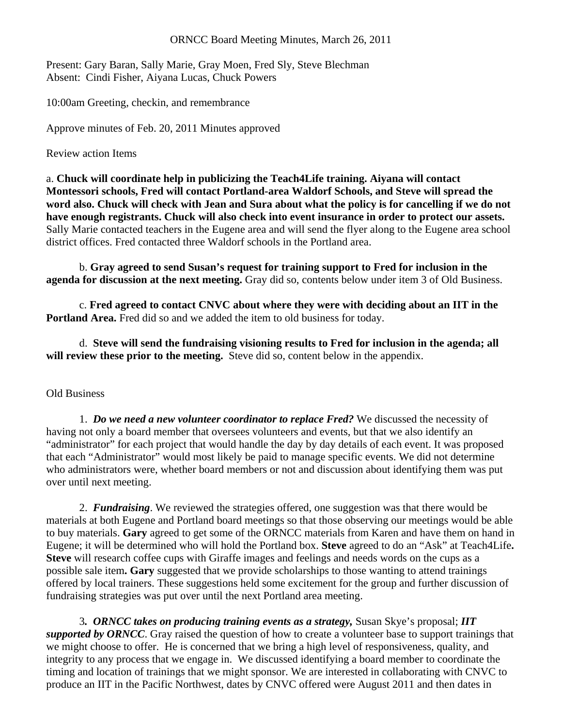## ORNCC Board Meeting Minutes, March 26, 2011

Present: Gary Baran, Sally Marie, Gray Moen, Fred Sly, Steve Blechman Absent: Cindi Fisher, Aiyana Lucas, Chuck Powers

10:00am Greeting, checkin, and remembrance

Approve minutes of Feb. 20, 2011 Minutes approved

Review action Items

a. **Chuck will coordinate help in publicizing the Teach4Life training. Aiyana will contact Montessori schools, Fred will contact Portland-area Waldorf Schools, and Steve will spread the word also. Chuck will check with Jean and Sura about what the policy is for cancelling if we do not have enough registrants. Chuck will also check into event insurance in order to protect our assets.**  Sally Marie contacted teachers in the Eugene area and will send the flyer along to the Eugene area school district offices. Fred contacted three Waldorf schools in the Portland area.

 b. **Gray agreed to send Susan's request for training support to Fred for inclusion in the agenda for discussion at the next meeting.** Gray did so, contents below under item 3 of Old Business.

 c. **Fred agreed to contact CNVC about where they were with deciding about an IIT in the Portland Area.** Fred did so and we added the item to old business for today.

 d. **Steve will send the fundraising visioning results to Fred for inclusion in the agenda; all will review these prior to the meeting.** Steve did so, content below in the appendix.

## Old Business

1. *Do we need a new volunteer coordinator to replace Fred?* We discussed the necessity of having not only a board member that oversees volunteers and events, but that we also identify an "administrator" for each project that would handle the day by day details of each event. It was proposed that each "Administrator" would most likely be paid to manage specific events. We did not determine who administrators were, whether board members or not and discussion about identifying them was put over until next meeting.

2. *Fundraising*. We reviewed the strategies offered, one suggestion was that there would be materials at both Eugene and Portland board meetings so that those observing our meetings would be able to buy materials. **Gary** agreed to get some of the ORNCC materials from Karen and have them on hand in Eugene; it will be determined who will hold the Portland box. **Steve** agreed to do an "Ask" at Teach4Life**. Steve** will research coffee cups with Giraffe images and feelings and needs words on the cups as a possible sale item**. Gary** suggested that we provide scholarships to those wanting to attend trainings offered by local trainers. These suggestions held some excitement for the group and further discussion of fundraising strategies was put over until the next Portland area meeting.

 3*. ORNCC takes on producing training events as a strategy,* Susan Skye's proposal; *IIT supported by ORNCC*. Gray raised the question of how to create a volunteer base to support trainings that we might choose to offer. He is concerned that we bring a high level of responsiveness, quality, and integrity to any process that we engage in. We discussed identifying a board member to coordinate the timing and location of trainings that we might sponsor. We are interested in collaborating with CNVC to produce an IIT in the Pacific Northwest, dates by CNVC offered were August 2011 and then dates in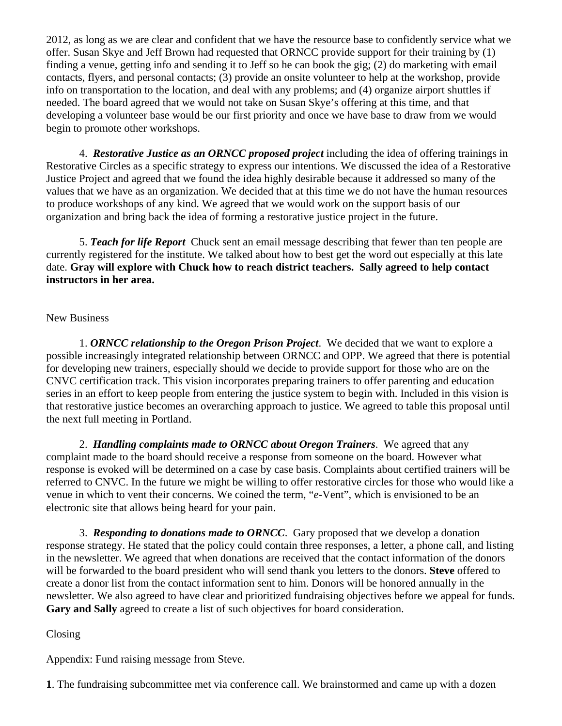2012, as long as we are clear and confident that we have the resource base to confidently service what we offer. Susan Skye and Jeff Brown had requested that ORNCC provide support for their training by (1) finding a venue, getting info and sending it to Jeff so he can book the gig; (2) do marketing with email contacts, flyers, and personal contacts; (3) provide an onsite volunteer to help at the workshop, provide info on transportation to the location, and deal with any problems; and (4) organize airport shuttles if needed. The board agreed that we would not take on Susan Skye's offering at this time, and that developing a volunteer base would be our first priority and once we have base to draw from we would begin to promote other workshops.

4. *Restorative Justice as an ORNCC proposed project* including the idea of offering trainings in Restorative Circles as a specific strategy to express our intentions. We discussed the idea of a Restorative Justice Project and agreed that we found the idea highly desirable because it addressed so many of the values that we have as an organization. We decided that at this time we do not have the human resources to produce workshops of any kind. We agreed that we would work on the support basis of our organization and bring back the idea of forming a restorative justice project in the future.

5. *Teach for life Report* Chuck sent an email message describing that fewer than ten people are currently registered for the institute. We talked about how to best get the word out especially at this late date. **Gray will explore with Chuck how to reach district teachers. Sally agreed to help contact instructors in her area.** 

## New Business

 1. *ORNCC relationship to the Oregon Prison Project*. We decided that we want to explore a possible increasingly integrated relationship between ORNCC and OPP. We agreed that there is potential for developing new trainers, especially should we decide to provide support for those who are on the CNVC certification track. This vision incorporates preparing trainers to offer parenting and education series in an effort to keep people from entering the justice system to begin with. Included in this vision is that restorative justice becomes an overarching approach to justice. We agreed to table this proposal until the next full meeting in Portland.

 2. *Handling complaints made to ORNCC about Oregon Trainers*. We agreed that any complaint made to the board should receive a response from someone on the board. However what response is evoked will be determined on a case by case basis. Complaints about certified trainers will be referred to CNVC. In the future we might be willing to offer restorative circles for those who would like a venue in which to vent their concerns. We coined the term, "*e*-Vent", which is envisioned to be an electronic site that allows being heard for your pain.

 3. *Responding to donations made to ORNCC*. Gary proposed that we develop a donation response strategy. He stated that the policy could contain three responses, a letter, a phone call, and listing in the newsletter. We agreed that when donations are received that the contact information of the donors will be forwarded to the board president who will send thank you letters to the donors. **Steve** offered to create a donor list from the contact information sent to him. Donors will be honored annually in the newsletter. We also agreed to have clear and prioritized fundraising objectives before we appeal for funds. **Gary and Sally** agreed to create a list of such objectives for board consideration.

## Closing

Appendix: Fund raising message from Steve.

**1**. The fundraising subcommittee met via conference call. We brainstormed and came up with a dozen